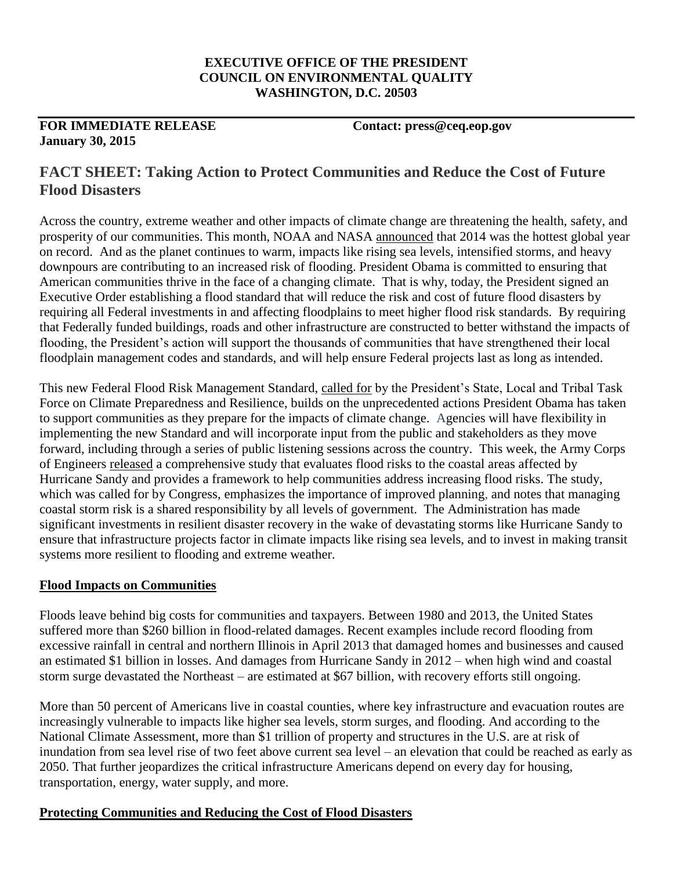### **EXECUTIVE OFFICE OF THE PRESIDENT COUNCIL ON ENVIRONMENTAL QUALITY WASHINGTON, D.C. 20503**

## **FOR IMMEDIATE RELEASE Contact: press@ceq.eop.gov January 30, 2015**

# **FACT SHEET: Taking Action to Protect Communities and Reduce the Cost of Future Flood Disasters**

Across the country, extreme weather and other impacts of climate change are threatening the health, safety, and prosperity of our communities. This month, NOAA and NASA [announced](file:///C:/Users/Tuss_T/AppData/Local/Microsoft/Windows/Temporary%20Internet%20Files/Content.Outlook/Y998DLVK/%3ehttp:/www.nasa.gov/press/2015/january/nasa-determines-2014-warmest-year-in-modern-record%3c) that 2014 was the hottest global year on record. And as the planet continues to warm, impacts like rising sea levels, intensified storms, and heavy downpours are contributing to an increased risk of flooding. President Obama is committed to ensuring that American communities thrive in the face of a changing climate. That is why, today, the President signed an Executive Order establishing a flood standard that will reduce the risk and cost of future flood disasters by requiring all Federal investments in and affecting floodplains to meet higher flood risk standards. By requiring that Federally funded buildings, roads and other infrastructure are constructed to better withstand the impacts of flooding, the President's action will support the thousands of communities that have strengthened their local floodplain management codes and standards, and will help ensure Federal projects last as long as intended.

This new Federal Flood Risk Management Standard, [called for](http://www.whitehouse.gov/administration/eop/ceq/Press_Releases/November_17_2014) by the President's State, Local and Tribal Task Force on Climate Preparedness and Resilience, builds on the unprecedented actions President Obama has taken to support communities as they prepare for the impacts of climate change. Agencies will have flexibility in implementing the new Standard and will incorporate input from the public and stakeholders as they move forward, including through a series of public listening sessions across the country. This week, the Army Corps of Engineers [released](http://www.usace.army.mil/Media/NewsReleases/NewsReleaseArticleView/tabid/231/Article/562301/us-army-corps-of-engineers-releases-report-on-coastal-storm-and-flood-risk-in-t.aspx) a comprehensive study that evaluates flood risks to the coastal areas affected by Hurricane Sandy and provides a framework to help communities address increasing flood risks. The study, which was called for by Congress, emphasizes the importance of improved planning, and notes that managing coastal storm risk is a shared responsibility by all levels of government. The Administration has made significant investments in resilient disaster recovery in the wake of devastating storms like Hurricane Sandy to ensure that infrastructure projects factor in climate impacts like rising sea levels, and to invest in making transit systems more resilient to flooding and extreme weather.

#### **Flood Impacts on Communities**

Floods leave behind big costs for communities and taxpayers. Between 1980 and 2013, the United States suffered more than \$260 billion in flood-related damages. Recent examples include record flooding from excessive rainfall in central and northern Illinois in April 2013 that damaged homes and businesses and caused an estimated \$1 billion in losses. And damages from Hurricane Sandy in 2012 – when high wind and coastal storm surge devastated the Northeast – are estimated at \$67 billion, with recovery efforts still ongoing.

More than 50 percent of Americans live in coastal counties, where key infrastructure and evacuation routes are increasingly vulnerable to impacts like higher sea levels, storm surges, and flooding. And according to the National Climate Assessment, more than \$1 trillion of property and structures in the U.S. are at risk of inundation from sea level rise of two feet above current sea level – an elevation that could be reached as early as 2050. That further jeopardizes the critical infrastructure Americans depend on every day for housing, transportation, energy, water supply, and more.

## **Protecting Communities and Reducing the Cost of Flood Disasters**